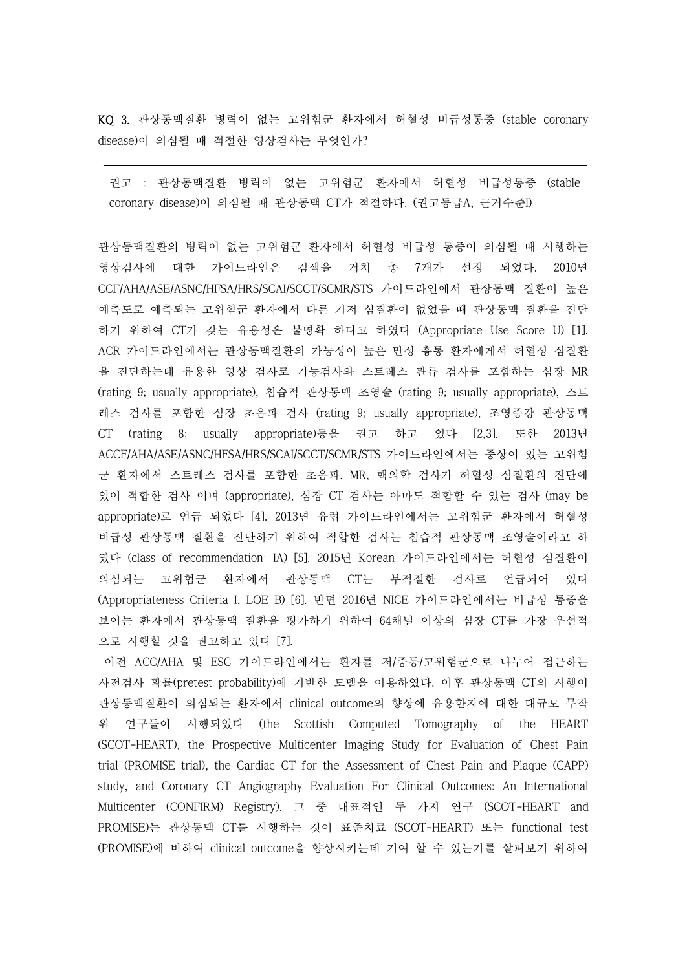KQ 3. 관상동맥질환 병력이 없는 고위험군 환자에서 허혈성 비급성통증 (stable coronary disease)이 의심될 때 적절한 영상검사는 무엇인가?

권고 : 관상동맥질환 병력이 없는 고위험군 환자에서 허혈성 비급성통증 (stable coronary disease)이 의심될 때 관상동맥 CT가 적절하다. (권고등급A, 근거수준I)

관상동맥질환의 병력이 없는 고위험군 환자에서 허혈성 비급성 통증이 의심될 때 시행하는 영상검사에 대한 가이드라인은 검색을 거쳐 총 7개가 선정 되었다. 2010년 CCF/AHA/ASE/ASNC/HFSA/HRS/SCAI/SCCT/SCMR/STS 가이드라인에서 관상동맥 질환이 높은 예측도로 예측되는 고위험군 환자에서 다른 기저 심질환이 없었을 때 관상동맥 질환을 진단 하기 위하여 CT가 갖는 유용성은 불명확 하다고 하였다 (Appropriate Use Score U) [1]. ACR 가이드라인에서는 관상동맥질환의 가능성이 높은 만성 흉통 환자에게서 허혈성 심질환 을 진단하는데 유용한 영상 검사로 기능검사와 스트레스 관류 검사를 포함하는 심장 MR (rating 9; usually appropriate), 침습적 관상동맥 조영술 (rating 9; usually appropriate), 스트 레스 검사를 포함한 심장 초음파 검사 (rating 9; usually appropriate), 조영증강 관상동맥 CT (rating 8; usually appropriate)등을 권고 하고 있다 [2,3]. 또한 2013년 ACCF/AHA/ASE/ASNC/HFSA/HRS/SCAI/SCCT/SCMR/STS 가이드라인에서는 증상이 있는 고위험 군 환자에서 스트레스 검사를 포함한 초음파, MR, 핵의학 검사가 허혈성 심질환의 진단에 있어 적합한 검사 이며 (appropriate), 심장 CT 검사는 아마도 적합할 수 있는 검사 (may be appropriate)로 언급 되었다 [4]. 2013년 유럽 가이드라인에서는 고위험군 환자에서 허혈성 비급성 관상동맥 질환을 진단하기 위하여 적합한 검사는 침습적 관상동맥 조영술이라고 하 였다 (class of recommendation: IA) [5]. 2015년 Korean 가이드라인에서는 허혈성 심질환이 의심되는 고위험군 환자에서 관상동맥 CT는 부적절한 검사로 언급되어 있다 (Appropriateness Criteria I, LOE B) [6]. 반면 2016년 NICE 가이드라인에서는 비급성 통증을 보이는 환자에서 관상동맥 질환을 평가하기 위하여 64채널 이상의 심장 CT를 가장 우선적 으로 시행할 것을 권고하고 있다 [7].

이전 ACC/AHA 및 ESC 가이드라인에서는 환자를 저/중등/고위험군으로 나누어 접근하는 사전검사 확률(pretest probability)에 기반한 모델을 이용하였다. 이후 관상동맥 CT의 시행이 관상동맥질환이 의심되는 환자에서 clinical outcome의 향상에 유용한지에 대한 대규모 무작 위 연구들이 시행되었다 (the Scottish Computed Tomography of the HEART (SCOT-HEART), the Prospective Multicenter Imaging Study for Evaluation of Chest Pain trial (PROMISE trial), the Cardiac CT for the Assessment of Chest Pain and Plaque (CAPP) study, and Coronary CT Angiography Evaluation For Clinical Outcomes: An International Multicenter (CONFIRM) Registry). 그 중 대표적인 두 가지 연구 (SCOT-HEART and PROMISE)는 관상동맥 CT를 시행하는 것이 표준치료 (SCOT-HEART) 또는 functional test (PROMISE)에 비하여 clinical outcome을 향상시키는데 기여 할 수 있는가를 살펴보기 위하여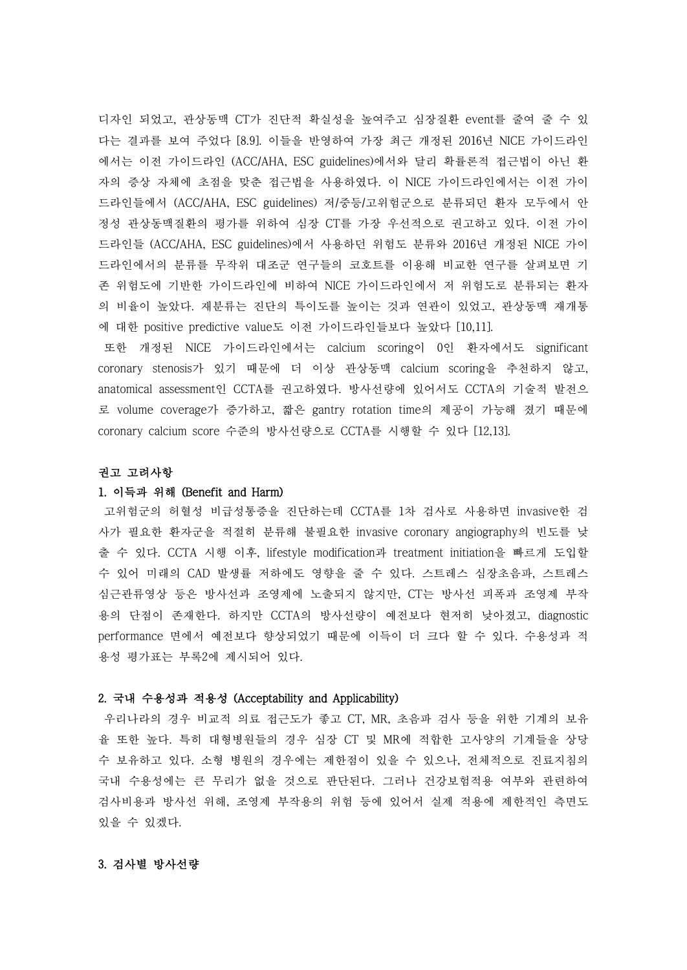디자인 되었고, 관상동맥 CT가 진단적 확실성을 높여주고 심장질환 event를 줄여 줄 수 있 다는 결과를 보여 주었다 [8.9]. 이들을 반영하여 가장 최근 개정된 2016년 NICE 가이드라인 에서는 이전 가이드라인 (ACC/AHA, ESC guidelines)에서와 달리 확률론적 접근법이 아닌 환 자의 증상 자체에 초점을 맞춘 접근법을 사용하였다. 이 NICE 가이드라인에서는 이전 가이 드라인들에서 (ACC/AHA, ESC guidelines) 저/중등/고위험군으로 분류되던 환자 모두에서 안 정성 관상동맥질환의 평가를 위하여 심장 CT를 가장 우선적으로 권고하고 있다. 이전 가이 드라인들 (ACC/AHA, ESC guidelines)에서 사용하던 위험도 분류와 2016년 개정된 NICE 가이 드라인에서의 분류를 무작위 대조군 연구들의 코호트를 이용해 비교한 연구를 살펴보면 기 존 위험도에 기반한 가이드라인에 비하여 NICE 가이드라인에서 저 위험도로 분류되는 환자 의 비율이 높았다. 재분류는 진단의 특이도를 높이는 것과 연관이 있었고, 관상동맥 재개통 에 대한 positive predictive value도 이전 가이드라인들보다 높았다 [10,11].

또한 개정된 NICE 가이드라인에서는 calcium scoring이 0인 환자에서도 significant coronary stenosis가 있기 때문에 더 이상 관상동맥 calcium scoring을 추천하지 않고, anatomical assessment인 CCTA를 권고하였다. 방사선량에 있어서도 CCTA의 기술적 발전으 로 volume coverage가 증가하고, 짧은 gantry rotation time의 제공이 가능해 졌기 때문에 coronary calcium score 수준의 방사선량으로 CCTA를 시행할 수 있다 [12,13].

#### 권고 고려사항

### 1. 이득과 위해 (Benefit and Harm)

고위험군의 허혈성 비급성통증을 진단하는데 CCTA를 1차 검사로 사용하면 invasive한 검 사가 필요한 환자군을 적절히 분류해 불필요한 invasive coronary angiography의 빈도를 낮 출 수 있다. CCTA 시행 이후, lifestyle modification과 treatment initiation을 빠르게 도입할 수 있어 미래의 CAD 발생률 저하에도 영향을 줄 수 있다. 스트레스 심장초음파, 스트레스 심근관류영상 등은 방사선과 조영제에 노출되지 않지만, CT는 방사선 피폭과 조영제 부작 용의 단점이 존재한다. 하지만 CCTA의 방사선량이 예전보다 현저히 낮아졌고, diagnostic performance 면에서 예전보다 향상되었기 때문에 이득이 더 크다 할 수 있다. 수용성과 적 용성 평가표는 부록2에 제시되어 있다.

#### 2. 국내 수용성과 적용성 (Acceptability and Applicability)

우리나라의 경우 비교적 의료 접근도가 좋고 CT, MR, 초음파 검사 등을 위한 기계의 보유 율 또한 높다. 특히 대형병원들의 경우 심장 CT 및 MR에 적합한 고사양의 기계들을 상당 수 보유하고 있다. 소형 병원의 경우에는 제한점이 있을 수 있으나, 전체적으로 진료지침의 국내 수용성에는 큰 무리가 없을 것으로 판단된다. 그러나 건강보험적용 여부와 관련하여 검사비용과 방사선 위해, 조영제 부작용의 위험 등에 있어서 실제 적용에 제한적인 측면도 있을 수 있겠다.

## 3. 검사별 방사선량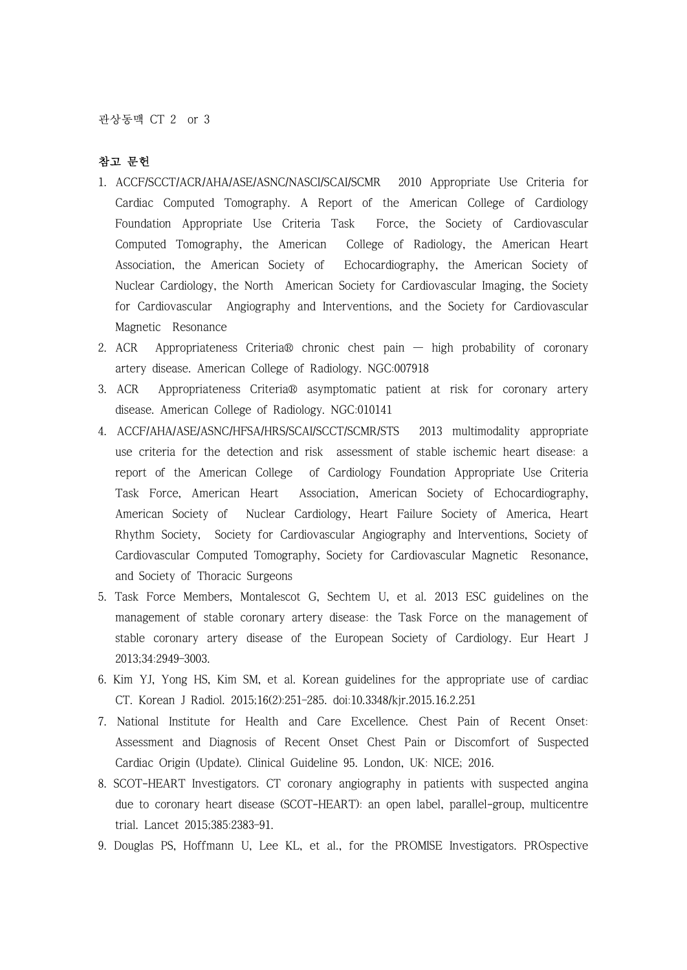# 참고 문헌

- 1. ACCF/SCCT/ACR/AHA/ASE/ASNC/NASCI/SCAI/SCMR 2010 Appropriate Use Criteria for Cardiac Computed Tomography. A Report of the American College of Cardiology Foundation Appropriate Use Criteria Task Force, the Society of Cardiovascular Computed Tomography, the American College of Radiology, the American Heart Association, the American Society of Echocardiography, the American Society of Nuclear Cardiology, the North American Society for Cardiovascular Imaging, the Society for Cardiovascular Angiography and Interventions, and the Society for Cardiovascular Magnetic Resonance
- 2. ACR Appropriateness Criteria® chronic chest pain high probability of coronary artery disease. American College of Radiology. NGC:007918
- 3. ACR Appropriateness Criteria® asymptomatic patient at risk for coronary artery disease. American College of Radiology. NGC:010141
- 4. ACCF/AHA/ASE/ASNC/HFSA/HRS/SCAI/SCCT/SCMR/STS 2013 multimodality appropriate use criteria for the detection and risk assessment of stable ischemic heart disease: a report of the American College of Cardiology Foundation Appropriate Use Criteria Task Force, American Heart Association, American Society of Echocardiography, American Society of Nuclear Cardiology, Heart Failure Society of America, Heart Rhythm Society, Society for Cardiovascular Angiography and Interventions, Society of Cardiovascular Computed Tomography, Society for Cardiovascular Magnetic Resonance, and Society of Thoracic Surgeons
- 5. Task Force Members, Montalescot G, Sechtem U, et al. 2013 ESC guidelines on the management of stable coronary artery disease: the Task Force on the management of stable coronary artery disease of the European Society of Cardiology. Eur Heart J 2013;34:2949–3003.
- 6. Kim YJ, Yong HS, Kim SM, et al. Korean guidelines for the appropriate use of cardiac CT. Korean J Radiol. 2015;16(2):251–285. doi:10.3348/kjr.2015.16.2.251
- 7. National Institute for Health and Care Excellence. Chest Pain of Recent Onset: Assessment and Diagnosis of Recent Onset Chest Pain or Discomfort of Suspected Cardiac Origin (Update). Clinical Guideline 95. London, UK: NICE; 2016.
- 8. SCOT-HEART Investigators. CT coronary angiography in patients with suspected angina due to coronary heart disease (SCOT-HEART): an open label, parallel-group, multicentre trial. Lancet 2015;385:2383–91.
- 9. Douglas PS, Hoffmann U, Lee KL, et al., for the PROMISE Investigators. PROspective